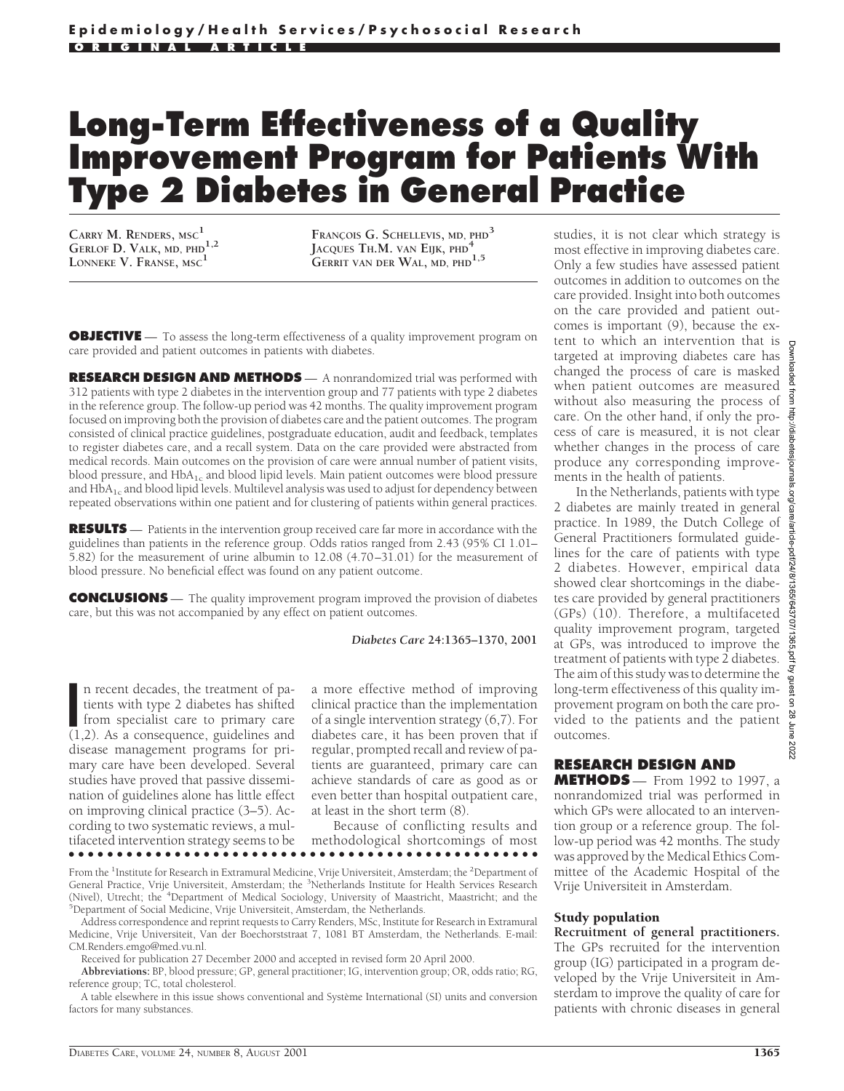# **Long-Term Effectiveness of a Quality Improvement Program for Patients With Type 2 Diabetes in General Practice**

**CARRY M. RENDERS, MSC1 GERLOF D. VALK, MD, PHD1,2 LONNEKE V. FRANSE, MSC1**

FRANÇOIS G. SCHELLEVIS, MD, PHD<sup>3</sup> **JACQUES TH.M. VAN EIJK, PHD4 GERRIT VAN DER WAL, MD, PHD1,5**

**OBJECTIVE** — To assess the long-term effectiveness of a quality improvement program on care provided and patient outcomes in patients with diabetes.

**RESEARCH DESIGN AND METHODS** — A nonrandomized trial was performed with 312 patients with type 2 diabetes in the intervention group and 77 patients with type 2 diabetes in the reference group. The follow-up period was 42 months. The quality improvement program focused on improving both the provision of diabetes care and the patient outcomes. The program consisted of clinical practice guidelines, postgraduate education, audit and feedback, templates to register diabetes care, and a recall system. Data on the care provided were abstracted from medical records. Main outcomes on the provision of care were annual number of patient visits, blood pressure, and  $HbA_{1c}$  and blood lipid levels. Main patient outcomes were blood pressure and  $H\bar{b}A_{1c}$  and blood lipid levels. Multilevel analysis was used to adjust for dependency between repeated observations within one patient and for clustering of patients within general practices.

**RESULTS** — Patients in the intervention group received care far more in accordance with the guidelines than patients in the reference group. Odds ratios ranged from 2.43 (95% CI 1.01– 5.82) for the measurement of urine albumin to 12.08 (4.70–31.01) for the measurement of blood pressure. No beneficial effect was found on any patient outcome.

**CONCLUSIONS** — The quality improvement program improved the provision of diabetes care, but this was not accompanied by any effect on patient outcomes.

*Diabetes Care* **24:1365–1370, 2001**

In recent decades, the treatment of patients with type 2 diabetes has shifted from specialist care to primary care (1,2). As a consequence, guidelines and n recent decades, the treatment of patients with type 2 diabetes has shifted from specialist care to primary care disease management programs for primary care have been developed. Several studies have proved that passive dissemination of guidelines alone has little effect on improving clinical practice (3–5). According to two systematic reviews, a multifaceted intervention strategy seems to be a more effective method of improving clinical practice than the implementation of a single intervention strategy (6,7). For diabetes care, it has been proven that if regular, prompted recall and review of patients are guaranteed, primary care can achieve standards of care as good as or even better than hospital outpatient care, at least in the short term (8).

Because of conflicting results and methodological shortcomings of most ●●●●●●●●●●●●●●●●●●●●●●●●●●●●●●●●●●●●●●●●●●●●●●●●●

From the <sup>1</sup>Institute for Research in Extramural Medicine, Vrije Universiteit, Amsterdam; the <sup>2</sup>Department of General Practice, Vrije Universiteit, Amsterdam; the <sup>3</sup>Netherlands Institute for Health Services Research (Nivel), Utrecht; the <sup>4</sup>Department of Medical Sociology, University of Maastricht, Maastricht; and the 5-<br><sup>5</sup>Department of Social Medicine, Vrije Universiteit, Amsterdam, the Netherlands <sup>5</sup>Department of Social Medicine, Vrije Universiteit, Amsterdam, the Netherlands.

Address correspondence and reprint requests to Carry Renders, MSc, Institute for Research in Extramural Medicine, Vrije Universiteit, Van der Boechorststraat 7, 1081 BT Amsterdam, the Netherlands. E-mail: CM.Renders.emgo@med.vu.nl.

Received for publication 27 December 2000 and accepted in revised form 20 April 2000.

**Abbreviations:** BP, blood pressure; GP, general practitioner; IG, intervention group; OR, odds ratio; RG, reference group; TC, total cholesterol.

A table elsewhere in this issue shows conventional and Système International (SI) units and conversion factors for many substances.

studies, it is not clear which strategy is most effective in improving diabetes care. Only a few studies have assessed patient outcomes in addition to outcomes on the care provided. Insight into both outcomes on the care provided and patient outcomes is important (9), because the extent to which an intervention that is targeted at improving diabetes care has changed the process of care is masked when patient outcomes are measured without also measuring the process of care. On the other hand, if only the process of care is measured, it is not clear whether changes in the process of care produce any corresponding improvements in the health of patients. nals.org/care/article

In the Netherlands, patients with type 2 diabetes are mainly treated in general practice. In 1989, the Dutch College of General Practitioners formulated guidelines for the care of patients with type 2 diabetes. However, empirical data showed clear shortcomings in the diabetes care provided by general practitioners (GPs) (10). Therefore, a multifaceted quality improvement program, targeted at GPs, was introduced to improve the treatment of patients with type 2 diabetes. The aim of this study was to determine the long-term effectiveness of this quality improvement program on both the care provided to the patients and the patient outcomes.

## **RESEARCH DESIGN AND**

**METHODS** — From 1992 to 1997, a nonrandomized trial was performed in which GPs were allocated to an intervention group or a reference group. The follow-up period was 42 months. The study was approved by the Medical Ethics Committee of the Academic Hospital of the Vrije Universiteit in Amsterdam.

#### Study population

**Recruitment of general practitioners.** The GPs recruited for the intervention group (IG) participated in a program developed by the Vrije Universiteit in Amsterdam to improve the quality of care for patients with chronic diseases in general

Downloaded from http://diabetesjournals.org/care/article-pdf/24/8/1365/643707/1365.pdf by guest on 28 June 2022

2022

//diabetesjourn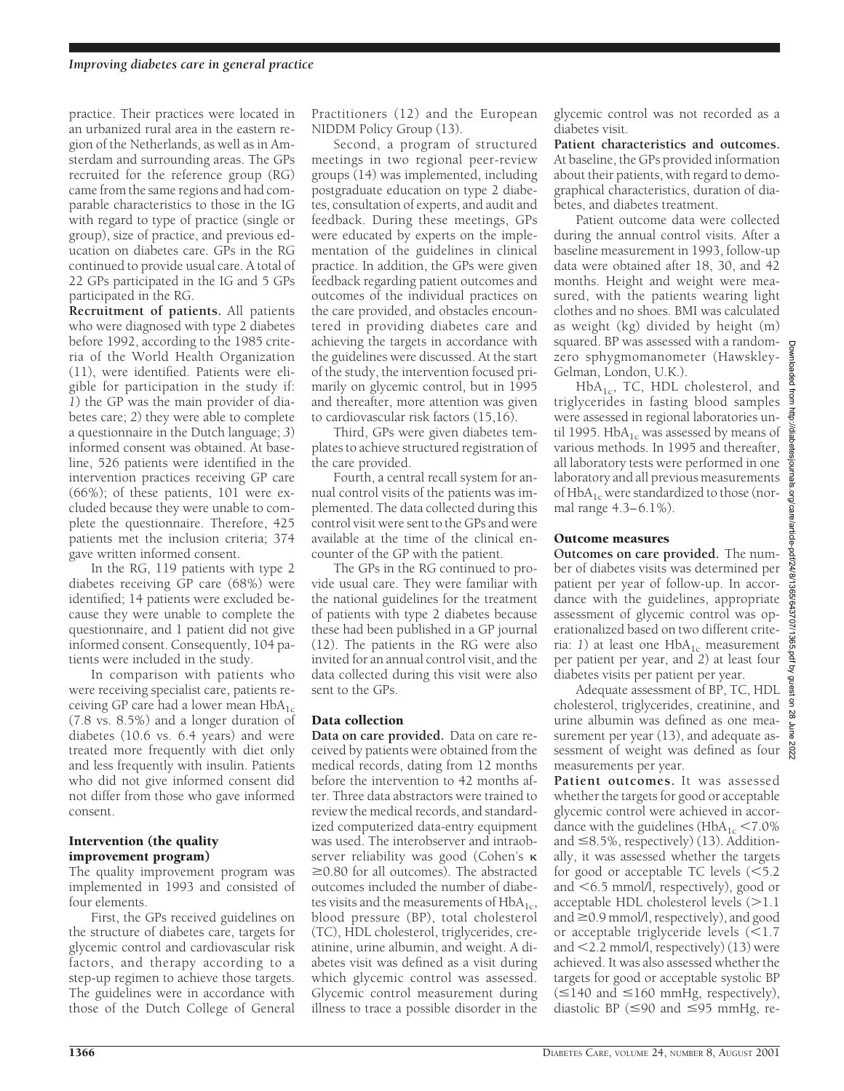practice. Their practices were located in an urbanized rural area in the eastern region of the Netherlands, as well as in Amsterdam and surrounding areas. The GPs recruited for the reference group (RG) came from the same regions and had comparable characteristics to those in the IG with regard to type of practice (single or group), size of practice, and previous education on diabetes care. GPs in the RG continued to provide usual care. A total of 22 GPs participated in the IG and 5 GPs participated in the RG.

**Recruitment of patients.** All patients who were diagnosed with type 2 diabetes before 1992, according to the 1985 criteria of the World Health Organization (11), were identified. Patients were eligible for participation in the study if: *1*) the GP was the main provider of diabetes care; *2*) they were able to complete a questionnaire in the Dutch language; *3*) informed consent was obtained. At baseline, 526 patients were identified in the intervention practices receiving GP care (66%); of these patients, 101 were excluded because they were unable to complete the questionnaire. Therefore, 425 patients met the inclusion criteria; 374 gave written informed consent.

In the RG, 119 patients with type 2 diabetes receiving GP care (68%) were identified; 14 patients were excluded because they were unable to complete the questionnaire, and 1 patient did not give informed consent. Consequently, 104 patients were included in the study.

In comparison with patients who were receiving specialist care, patients receiving GP care had a lower mean  $HbA_{1c}$ (7.8 vs. 8.5%) and a longer duration of diabetes (10.6 vs. 6.4 years) and were treated more frequently with diet only and less frequently with insulin. Patients who did not give informed consent did not differ from those who gave informed consent.

#### Intervention (the quality improvement program)

The quality improvement program was implemented in 1993 and consisted of four elements.

First, the GPs received guidelines on the structure of diabetes care, targets for glycemic control and cardiovascular risk factors, and therapy according to a step-up regimen to achieve those targets. The guidelines were in accordance with those of the Dutch College of General

Practitioners (12) and the European NIDDM Policy Group (13).

Second, a program of structured meetings in two regional peer-review groups (14) was implemented, including postgraduate education on type 2 diabetes, consultation of experts, and audit and feedback. During these meetings, GPs were educated by experts on the implementation of the guidelines in clinical practice. In addition, the GPs were given feedback regarding patient outcomes and outcomes of the individual practices on the care provided, and obstacles encountered in providing diabetes care and achieving the targets in accordance with the guidelines were discussed. At the start of the study, the intervention focused primarily on glycemic control, but in 1995 and thereafter, more attention was given to cardiovascular risk factors (15,16).

Third, GPs were given diabetes templates to achieve structured registration of the care provided.

Fourth, a central recall system for annual control visits of the patients was implemented. The data collected during this control visit were sent to the GPs and were available at the time of the clinical encounter of the GP with the patient.

The GPs in the RG continued to provide usual care. They were familiar with the national guidelines for the treatment of patients with type 2 diabetes because these had been published in a GP journal (12). The patients in the RG were also invited for an annual control visit, and the data collected during this visit were also sent to the GPs.

## Data collection

**Data on care provided.** Data on care received by patients were obtained from the medical records, dating from 12 months before the intervention to 42 months after. Three data abstractors were trained to review the medical records, and standardized computerized data-entry equipment was used. The interobserver and intraobserver reliability was good (Cohen's k  $\geq$ 0.80 for all outcomes). The abstracted outcomes included the number of diabetes visits and the measurements of  $HbA_{1c}$ , blood pressure (BP), total cholesterol (TC), HDL cholesterol, triglycerides, creatinine, urine albumin, and weight. A diabetes visit was defined as a visit during which glycemic control was assessed. Glycemic control measurement during illness to trace a possible disorder in the glycemic control was not recorded as a diabetes visit.

**Patient characteristics and outcomes.** At baseline, the GPs provided information about their patients, with regard to demographical characteristics, duration of diabetes, and diabetes treatment.

Patient outcome data were collected during the annual control visits. After a baseline measurement in 1993, follow-up data were obtained after 18, 30, and 42 months. Height and weight were measured, with the patients wearing light clothes and no shoes. BMI was calculated as weight (kg) divided by height (m) squared. BP was assessed with a randomzero sphygmomanometer (Hawskley-Gelman, London, U.K.).

HbA<sub>1c</sub>, TC, HDL cholesterol, and triglycerides in fasting blood samples were assessed in regional laboratories until 1995. Hb $A_{1c}$  was assessed by means of various methods. In 1995 and thereafter, all laboratory tests were performed in one laboratory and all previous measurements of HbA<sub>1c</sub> were standardized to those (normal range 4.3–6.1%).

#### Outcome measures

**Outcomes on care provided.** The number of diabetes visits was determined per patient per year of follow-up. In accordance with the guidelines, appropriate assessment of glycemic control was operationalized based on two different criteria: *1*) at least one HbA<sub>1c</sub> measurement per patient per year, and *2*) at least four diabetes visits per patient per year.

Adequate assessment of BP, TC, HDL cholesterol, triglycerides, creatinine, and urine albumin was defined as one measurement per year (13), and adequate assessment of weight was defined as four measurements per year.

**Patient outcomes.** It was assessed whether the targets for good or acceptable glycemic control were achieved in accordance with the guidelines (HbA<sub>1c</sub>  $\leq$ 7.0% and  $\leq$ 8.5%, respectively) (13). Additionally, it was assessed whether the targets for good or acceptable TC levels  $(<5.2$ and  $\leq 6.5$  mmol/l, respectively), good or acceptable HDL cholesterol levels  $(>1.1$ and  $\geq$ 0.9 mmol/l, respectively), and good or acceptable triglyceride levels  $\leq 1.7$ and  $<$  2.2 mmol/l, respectively) (13) were achieved. It was also assessed whether the targets for good or acceptable systolic BP  $(\leq 140$  and  $\leq 160$  mmHg, respectively), diastolic BP ( $\leq 90$  and  $\leq 95$  mmHg, re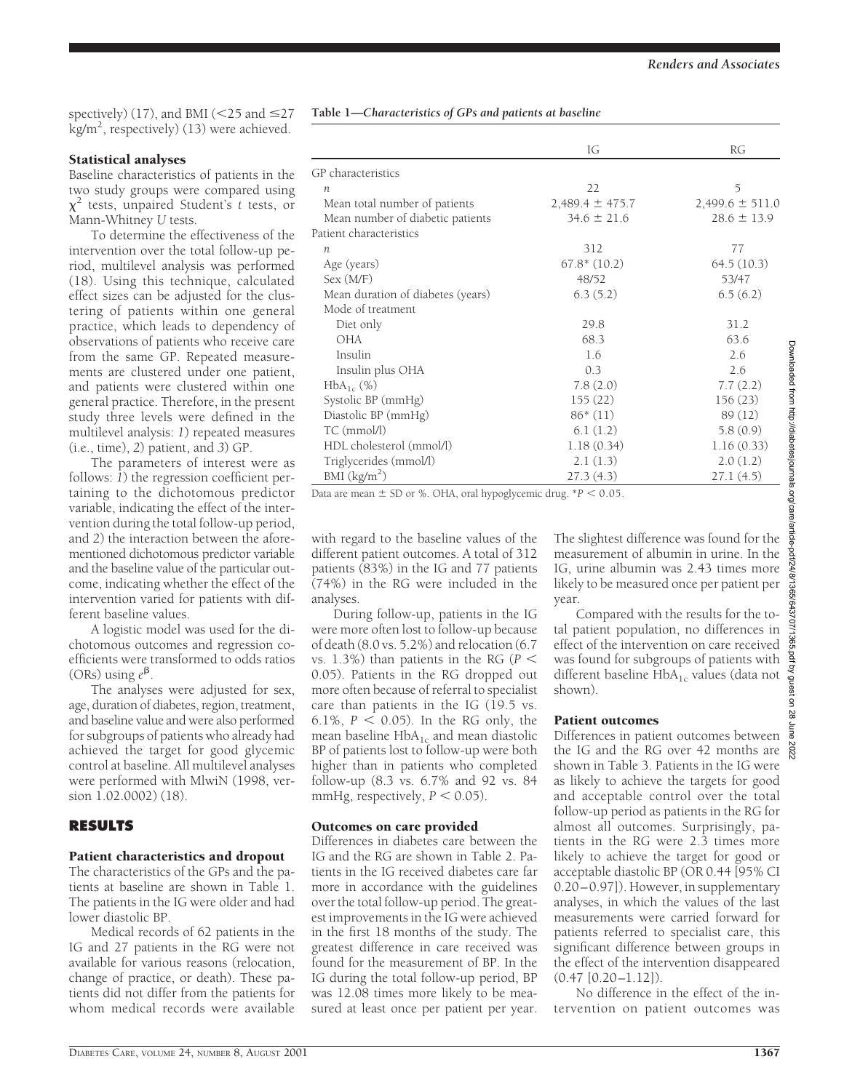spectively) (17), and BMI ( $<$ 25 and  $\leq$ 27 kg/m<sup>2</sup> , respectively) (13) were achieved.

## Statistical analyses

Baseline characteristics of patients in the two study groups were compared using x<sup>2</sup> tests, unpaired Student's *t* tests, or Mann-Whitney *U* tests.

To determine the effectiveness of the intervention over the total follow-up period, multilevel analysis was performed (18). Using this technique, calculated effect sizes can be adjusted for the clustering of patients within one general practice, which leads to dependency of observations of patients who receive care from the same GP. Repeated measurements are clustered under one patient, and patients were clustered within one general practice. Therefore, in the present study three levels were defined in the multilevel analysis: *1*) repeated measures (i.e., time), *2*) patient, and *3*) GP.

The parameters of interest were as follows: *1*) the regression coefficient pertaining to the dichotomous predictor variable, indicating the effect of the intervention during the total follow-up period, and *2*) the interaction between the aforementioned dichotomous predictor variable and the baseline value of the particular outcome, indicating whether the effect of the intervention varied for patients with different baseline values.

A logistic model was used for the dichotomous outcomes and regression coefficients were transformed to odds ratios (ORs) using  $e^{\beta}$ .

The analyses were adjusted for sex, age, duration of diabetes, region, treatment, and baseline value and were also performed for subgroups of patients who already had achieved the target for good glycemic control at baseline. All multilevel analyses were performed with MlwiN (1998, version 1.02.0002) (18).

# **RESULTS**

# Patient characteristics and dropout

The characteristics of the GPs and the patients at baseline are shown in Table 1. The patients in the IG were older and had lower diastolic BP.

Medical records of 62 patients in the IG and 27 patients in the RG were not available for various reasons (relocation, change of practice, or death). These patients did not differ from the patients for whom medical records were available **Table 1—***Characteristics of GPs and patients at baseline*

|                                   | IG                  | RG                  |
|-----------------------------------|---------------------|---------------------|
| GP characteristics                |                     |                     |
| n                                 | 22                  | 5                   |
| Mean total number of patients     | $2,489.4 \pm 475.7$ | $2,499.6 \pm 511.0$ |
| Mean number of diabetic patients  | $34.6 \pm 21.6$     | $28.6 \pm 13.9$     |
| Patient characteristics           |                     |                     |
| $\boldsymbol{n}$                  | 312                 | 77                  |
| Age (years)                       | $67.8*(10.2)$       | 64.5(10.3)          |
| Sex (M/F)                         | 48/52               | 53/47               |
| Mean duration of diabetes (years) | 6.3(5.2)            | 6.5(6.2)            |
| Mode of treatment                 |                     |                     |
| Diet only                         | 29.8                | 31.2                |
| <b>OHA</b>                        | 68.3                | 63.6                |
| Insulin                           | 1.6                 | 2.6                 |
| Insulin plus OHA                  | 0.3                 | 2.6                 |
| $HbA_{1c}(\%)$                    | 7.8(2.0)            | 7.7(2.2)            |
| Systolic BP (mmHg)                | 155(22)             | 156(23)             |
| Diastolic BP (mmHg)               | $86*(11)$           | 89 (12)             |
| TC (mmol/l)                       | 6.1(1.2)            | 5.8(0.9)            |
| HDL cholesterol (mmol/l)          | 1.18(0.34)          | 1.16(0.33)          |
| Triglycerides (mmol/l)            | 2.1(1.3)            | 2.0(1.2)            |
| BMI (kg/m <sup>2</sup> )          | 27.3(4.3)           | 27.1(4.5)           |

Data are mean  $\pm$  SD or %. OHA, oral hypoglycemic drug.  $*P < 0.05$ .

with regard to the baseline values of the different patient outcomes. A total of 312 patients (83%) in the IG and 77 patients (74%) in the RG were included in the analyses.

During follow-up, patients in the IG were more often lost to follow-up because of death (8.0 vs. 5.2%) and relocation (6.7 vs. 1.3%) than patients in the RG ( $P$  < 0.05). Patients in the RG dropped out more often because of referral to specialist care than patients in the IG (19.5 vs. 6.1%,  $P < 0.05$ ). In the RG only, the mean baseline  $HbA_{1c}$  and mean diastolic BP of patients lost to follow-up were both higher than in patients who completed follow-up (8.3 vs. 6.7% and 92 vs. 84 mmHg, respectively,  $P < 0.05$ ).

# Outcomes on care provided

Differences in diabetes care between the IG and the RG are shown in Table 2. Patients in the IG received diabetes care far more in accordance with the guidelines over the total follow-up period. The greatest improvements in the IG were achieved in the first 18 months of the study. The greatest difference in care received was found for the measurement of BP. In the IG during the total follow-up period, BP was 12.08 times more likely to be measured at least once per patient per year.

The slightest difference was found for the measurement of albumin in urine. In the IG, urine albumin was 2.43 times more likely to be measured once per patient per year.

Compared with the results for the total patient population, no differences in effect of the intervention on care received was found for subgroups of patients with different baseline  $HbA_{1c}$  values (data not shown).

# Patient outcomes

Differences in patient outcomes between the IG and the RG over 42 months are shown in Table 3. Patients in the IG were as likely to achieve the targets for good and acceptable control over the total follow-up period as patients in the RG for almost all outcomes. Surprisingly, patients in the RG were 2.3 times more likely to achieve the target for good or acceptable diastolic BP (OR 0.44 [95% CI 0.20–0.97]). However, in supplementary analyses, in which the values of the last measurements were carried forward for patients referred to specialist care, this significant difference between groups in the effect of the intervention disappeared  $(0.47 [0.20 - 1.12]).$ 

No difference in the effect of the intervention on patient outcomes was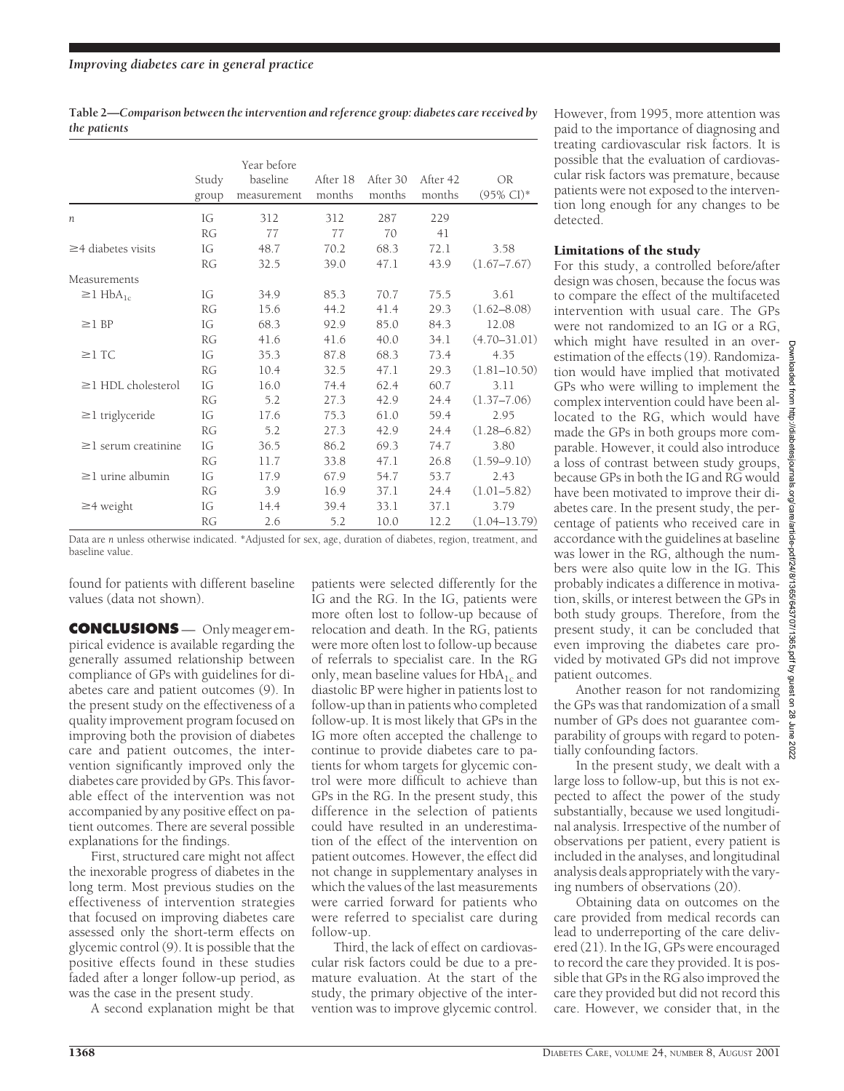|                            | Study<br>group | Year before<br>baseline<br>measurement | After 18<br>months | After 30<br>months | After 42<br>months | <b>OR</b><br>$(95\% \text{ Cl})^*$ |
|----------------------------|----------------|----------------------------------------|--------------------|--------------------|--------------------|------------------------------------|
| $\boldsymbol{n}$           | IG             | 312                                    | 312                | 287                | 229                |                                    |
|                            | RG             | 77                                     | 77                 | 70                 | 41                 |                                    |
| $\geq$ 4 diabetes visits   | IG             | 48.7                                   | 70.2               | 68.3               | 72.1               | 3.58                               |
|                            | RG             | 32.5                                   | 39.0               | 47.1               | 43.9               | $(1.67 - 7.67)$                    |
| Measurements               |                |                                        |                    |                    |                    |                                    |
| $\geq$ 1 HbA <sub>1c</sub> | IG             | 34.9                                   | 85.3               | 70.7               | 75.5               | 3.61                               |
|                            | RG             | 15.6                                   | 44.2               | 41.4               | 29.3               | $(1.62 - 8.08)$                    |
| $\geq 1$ BP                | IG             | 68.3                                   | 92.9               | 85.0               | 84.3               | 12.08                              |
|                            | RG             | 41.6                                   | 41.6               | 40.0               | 34.1               | $(4.70 - 31.01)$                   |
| $\geq$ 1 TC                | IG             | 35.3                                   | 87.8               | 68.3               | 73.4               | 4.35                               |
|                            | RG             | 10.4                                   | 32.5               | 47.1               | 29.3               | $(1.81 - 10.50)$                   |
| $\geq$ 1 HDL cholesterol   | IG             | 16.0                                   | 74.4               | 62.4               | 60.7               | 3.11                               |
|                            | RG             | 5.2                                    | 27.3               | 42.9               | 24.4               | $(1.37 - 7.06)$                    |
| $\geq$ 1 triglyceride      | IG             | 17.6                                   | 75.3               | 61.0               | 59.4               | 2.95                               |
|                            | RG             | 5.2                                    | 27.3               | 42.9               | 24.4               | $(1.28 - 6.82)$                    |
| $\geq$ 1 serum creatinine  | IG             | 36.5                                   | 86.2               | 69.3               | 74.7               | 3.80                               |
|                            | RG             | 11.7                                   | 33.8               | 47.1               | 26.8               | $(1.59 - 9.10)$                    |
| $\geq$ 1 urine albumin     | IG             | 17.9                                   | 67.9               | 54.7               | 53.7               | 2.43                               |
|                            | RG             | 3.9                                    | 16.9               | 37.1               | 24.4               | $(1.01 - 5.82)$                    |
| $\geq$ 4 weight            | IG             | 14.4                                   | 39.4               | 33.1               | 37.1               | 3.79                               |
|                            | RG             | 2.6                                    | 5.2                | 10.0               | 12.2               | $(1.04 - 13.79)$                   |

**Table 2—***Comparison between the intervention and reference group: diabetes care received by the patients*

Data are *n* unless otherwise indicated. \*Adjusted for sex, age, duration of diabetes, region, treatment, and baseline value.

found for patients with different baseline values (data not shown).

**CONCLUSIONS** — Only meager empirical evidence is available regarding the generally assumed relationship between compliance of GPs with guidelines for diabetes care and patient outcomes (9). In the present study on the effectiveness of a quality improvement program focused on improving both the provision of diabetes care and patient outcomes, the intervention significantly improved only the diabetes care provided by GPs. This favorable effect of the intervention was not accompanied by any positive effect on patient outcomes. There are several possible explanations for the findings.

First, structured care might not affect the inexorable progress of diabetes in the long term. Most previous studies on the effectiveness of intervention strategies that focused on improving diabetes care assessed only the short-term effects on glycemic control (9). It is possible that the positive effects found in these studies faded after a longer follow-up period, as was the case in the present study.

A second explanation might be that

patients were selected differently for the IG and the RG. In the IG, patients were more often lost to follow-up because of relocation and death. In the RG, patients were more often lost to follow-up because of referrals to specialist care. In the RG only, mean baseline values for  $HbA_{1c}$  and diastolic BP were higher in patients lost to follow-up than in patients who completed follow-up. It is most likely that GPs in the IG more often accepted the challenge to continue to provide diabetes care to patients for whom targets for glycemic control were more difficult to achieve than GPs in the RG. In the present study, this difference in the selection of patients could have resulted in an underestimation of the effect of the intervention on patient outcomes. However, the effect did not change in supplementary analyses in which the values of the last measurements were carried forward for patients who were referred to specialist care during follow-up.

Third, the lack of effect on cardiovascular risk factors could be due to a premature evaluation. At the start of the study, the primary objective of the intervention was to improve glycemic control. However, from 1995, more attention was paid to the importance of diagnosing and treating cardiovascular risk factors. It is possible that the evaluation of cardiovascular risk factors was premature, because patients were not exposed to the intervention long enough for any changes to be detected.

## Limitations of the study

For this study, a controlled before/after design was chosen, because the focus was to compare the effect of the multifaceted intervention with usual care. The GPs were not randomized to an IG or a RG, which might have resulted in an overestimation of the effects (19). Randomization would have implied that motivated GPs who were willing to implement the complex intervention could have been allocated to the RG, which would have made the GPs in both groups more comparable. However, it could also introduce a loss of contrast between study groups, because GPs in both the IG and RG would have been motivated to improve their diabetes care. In the present study, the percentage of patients who received care in accordance with the guidelines at baseline was lower in the RG, although the numbers were also quite low in the IG. This probably indicates a difference in motivation, skills, or interest between the GPs in both study groups. Therefore, from the present study, it can be concluded that even improving the diabetes care provided by motivated GPs did not improve patient outcomes.

Another reason for not randomizing the GPs was that randomization of a small number of GPs does not guarantee comparability of groups with regard to potentially confounding factors.

In the present study, we dealt with a large loss to follow-up, but this is not expected to affect the power of the study substantially, because we used longitudinal analysis. Irrespective of the number of observations per patient, every patient is included in the analyses, and longitudinal analysis deals appropriately with the varying numbers of observations (20).

Obtaining data on outcomes on the care provided from medical records can lead to underreporting of the care delivered (21). In the IG, GPs were encouraged to record the care they provided. It is possible that GPs in the RG also improved the care they provided but did not record this care. However, we consider that, in the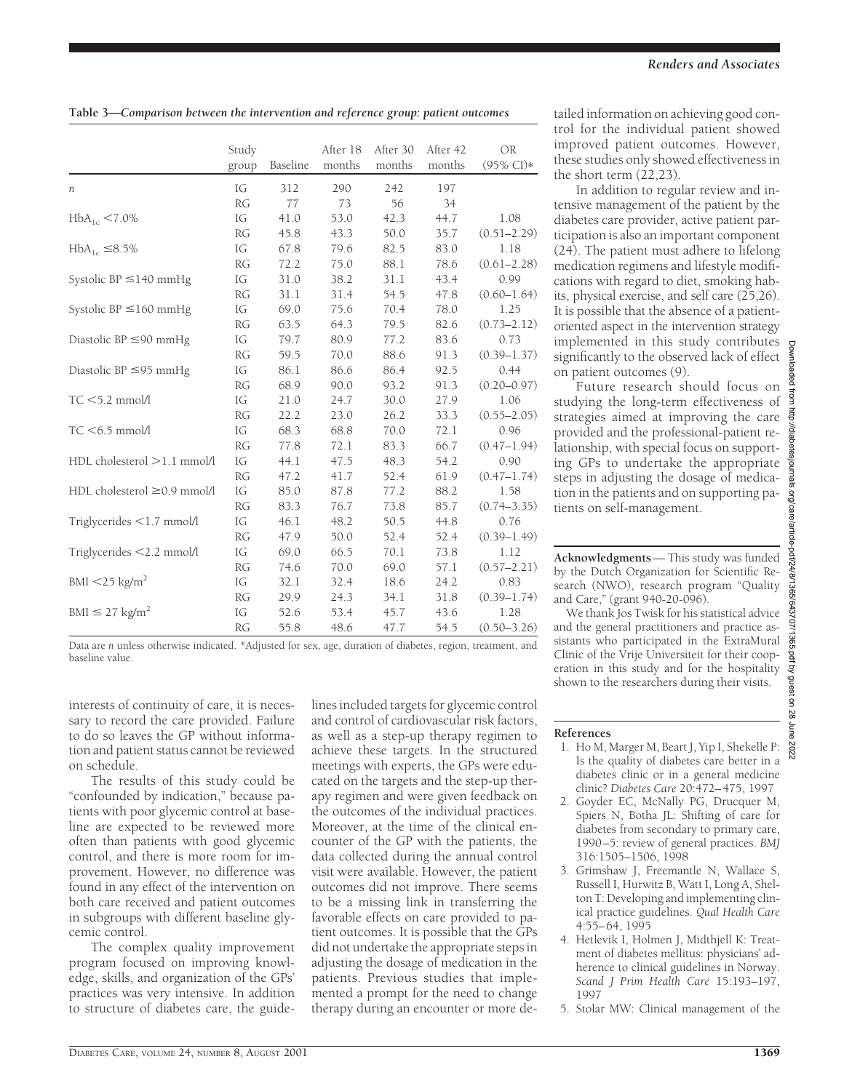**Table 3—***Comparison between the intervention and reference group: patient outcomes*

|                                   | Study<br>group | Baseline | After 18<br>months | After 30<br>months | After 42<br>months | <b>OR</b><br>$(95\% \text{ Cl})*$ |
|-----------------------------------|----------------|----------|--------------------|--------------------|--------------------|-----------------------------------|
| п                                 | IG             | 312      | 290                | 242                | 197                |                                   |
|                                   | RG             | 77       | 73                 | 56                 | 34                 |                                   |
| $HbA_{1c}$ < 7.0%                 | IG             | 41.0     | 53.0               | 42.3               | 44.7               | 1.08                              |
|                                   | RG             | 45.8     | 43.3               | 50.0               | 35.7               | $(0.51 - 2.29)$                   |
| $HbA_{1c} \leq 8.5\%$             | IG             | 67.8     | 79.6               | 82.5               | 83.0               | 1.18                              |
|                                   | RG             | 72.2     | 75.0               | 88.1               | 78.6               | $(0.61 - 2.28)$                   |
| Systolic BP $\leq$ 140 mmHg       | IG             | 31.0     | 38.2               | 31.1               | 43.4               | 0.99                              |
|                                   | <b>RG</b>      | 31.1     | 31.4               | 54.5               | 47.8               | $(0.60 - 1.64)$                   |
| Systolic BP $\leq$ 160 mmHg       | IG             | 69.0     | 75.6               | 70.4               | 78.0               | 1.25                              |
|                                   | <b>RG</b>      | 63.5     | 64.3               | 79.5               | 82.6               | $(0.73 - 2.12)$                   |
| Diastolic BP $\leq 90$ mmHg       | IG             | 79.7     | 80.9               | 77.2               | 83.6               | 0.73                              |
|                                   | RG             | 59.5     | 70.0               | 88.6               | 91.3               | $(0.39 - 1.37)$                   |
| Diastolic BP $\leq$ 95 mmHg       | IG             | 86.1     | 86.6               | 86.4               | 92.5               | 0.44                              |
|                                   | <b>RG</b>      | 68.9     | 90.0               | 93.2               | 91.3               | $(0.20 - 0.97)$                   |
| $TC < 5.2$ mmol/l                 | IG             | 21.0     | 24.7               | 30.0               | 27.9               | 1.06                              |
|                                   | <b>RG</b>      | 22.2     | 23.0               | 26.2               | 33.3               | $(0.55 - 2.05)$                   |
| $TC < 6.5$ mmol/l                 | IG             | 68.3     | 68.8               | 70.0               | 72.1               | 0.96                              |
|                                   | <b>RG</b>      | 77.8     | 72.1               | 83.3               | 66.7               | $(0.47 - 1.94)$                   |
| HDL cholesterol >1.1 mmol/l       | IG             | 44.1     | 47.5               | 48.3               | 54.2               | 0.90                              |
|                                   | <b>RG</b>      | 47.2     | 41.7               | 52.4               | 61.9               | $(0.47 - 1.74)$                   |
| HDL cholesterol $\geq 0.9$ mmol/l | IG             | 85.0     | 87.8               | 77.2               | 88.2               | 1.58                              |
|                                   | <b>RG</b>      | 83.3     | 76.7               | 73.8               | 85.7               | $(0.74 - 3.35)$                   |
| Triglycerides <1.7 mmol/l         | IG             | 46.1     | 48.2               | 50.5               | 44.8               | 0.76                              |
|                                   | <b>RG</b>      | 47.9     | 50.0               | 52.4               | 52.4               | $(0.39 - 1.49)$                   |
| Triglycerides <2.2 mmol/l         | IG             | 69.0     | 66.5               | 70.1               | 73.8               | 1.12                              |
|                                   | RG             | 74.6     | 70.0               | 69.0               | 57.1               | $(0.57 - 2.21)$                   |
| $BMI < 25$ kg/m <sup>2</sup>      | IG             | 32.1     | 32.4               | 18.6               | 24.2               | 0.83                              |
|                                   | RG             | 29.9     | 24.3               | 34.1               | 31.8               | $(0.39 - 1.74)$                   |
| $BMI \leq 27$ kg/m <sup>2</sup>   | IG             | 52.6     | 53.4               | 45.7               | 43.6               | 1.28                              |
|                                   | <b>RG</b>      | 55.8     | 48.6               | 47.7               | 54.5               | $(0.50 - 3.26)$                   |

Data are *n* unless otherwise indicated. \*Adjusted for sex, age, duration of diabetes, region, treatment, and baseline value.

interests of continuity of care, it is necessary to record the care provided. Failure to do so leaves the GP without information and patient status cannot be reviewed on schedule.

The results of this study could be "confounded by indication," because patients with poor glycemic control at baseline are expected to be reviewed more often than patients with good glycemic control, and there is more room for improvement. However, no difference was found in any effect of the intervention on both care received and patient outcomes in subgroups with different baseline glycemic control.

The complex quality improvement program focused on improving knowledge, skills, and organization of the GPs' practices was very intensive. In addition to structure of diabetes care, the guidelines included targets for glycemic control and control of cardiovascular risk factors, as well as a step-up therapy regimen to achieve these targets. In the structured meetings with experts, the GPs were educated on the targets and the step-up therapy regimen and were given feedback on the outcomes of the individual practices. Moreover, at the time of the clinical encounter of the GP with the patients, the data collected during the annual control visit were available. However, the patient outcomes did not improve. There seems to be a missing link in transferring the favorable effects on care provided to patient outcomes. It is possible that the GPs did not undertake the appropriate steps in adjusting the dosage of medication in the patients. Previous studies that implemented a prompt for the need to change therapy during an encounter or more detailed information on achieving good control for the individual patient showed improved patient outcomes. However, these studies only showed effectiveness in the short term (22,23).

In addition to regular review and intensive management of the patient by the diabetes care provider, active patient participation is also an important component (24). The patient must adhere to lifelong medication regimens and lifestyle modifications with regard to diet, smoking habits, physical exercise, and self care (25,26). It is possible that the absence of a patientoriented aspect in the intervention strategy implemented in this study contributes significantly to the observed lack of effect on patient outcomes (9).

ed from I Future research should focus on studying the long-term effectiveness of strategies aimed at improving the care //diabetesjournals.org/care/article-pdf/24/8/1365/6 provided and the professional-patient relationship, with special focus on supporting GPs to undertake the appropriate steps in adjusting the dosage of medication in the patients and on supporting patients on self-management.

**Acknowledgments**— This study was funded by the Dutch Organization for Scientific Research (NWO), research program "Quality and Care," (grant 940-20-096).

We thank Jos Twisk for his statistical advice and the general practitioners and practice assistants who participated in the ExtraMural Clinic of the Vrije Universiteit for their cooperation in this study and for the hospitality shown to the researchers during their visits.

#### **References**

- 1. Ho M, Marger M, Beart J, Yip I, Shekelle P: Is the quality of diabetes care better in a diabetes clinic or in a general medicine clinic? *Diabetes Care* 20:472–475, 1997
- 2. Goyder EC, McNally PG, Drucquer M, Spiers N, Botha JL: Shifting of care for diabetes from secondary to primary care, 1990–5: review of general practices. *BMJ* 316:1505–1506, 1998
- 3. Grimshaw J, Freemantle N, Wallace S, Russell I, Hurwitz B, Watt I, Long A, Shelton T: Developing and implementing clinical practice guidelines. *Qual Health Care* 4:55–64, 1995
- 4. Hetlevik I, Holmen J, Midthjell K: Treatment of diabetes mellitus: physicians' adherence to clinical guidelines in Norway. *Scand J Prim Health Care* 15:193–197, 1997
- 5. Stolar MW: Clinical management of the

wnloac